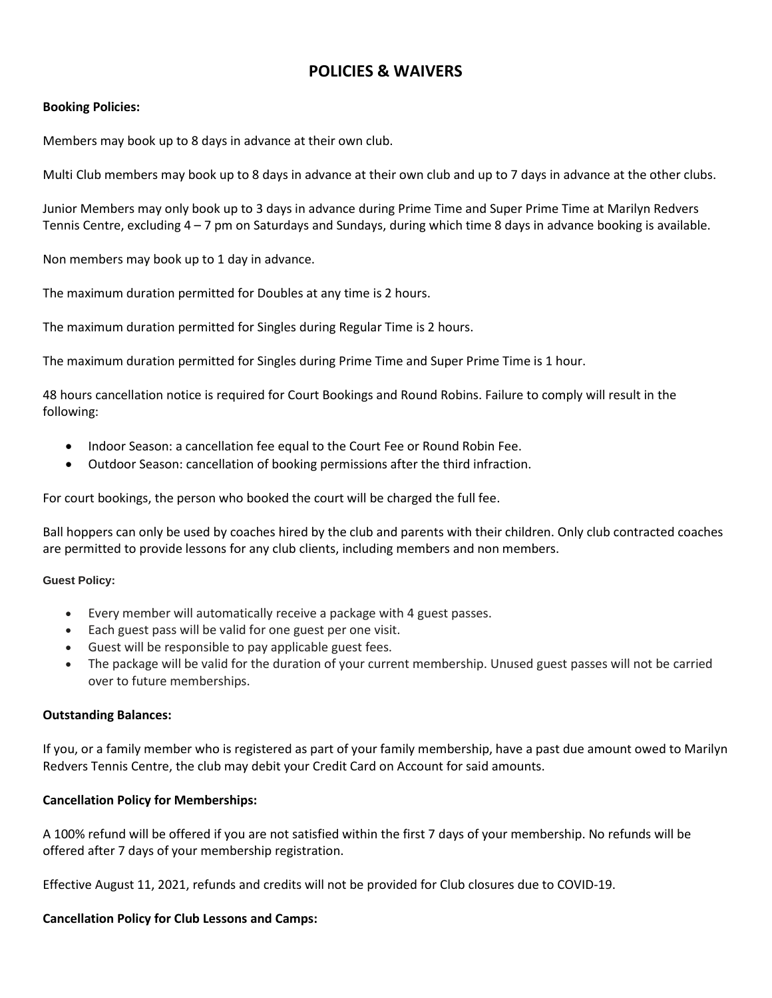# **POLICIES & WAIVERS**

## **Booking Policies:**

Members may book up to 8 days in advance at their own club.

Multi Club members may book up to 8 days in advance at their own club and up to 7 days in advance at the other clubs.

Junior Members may only book up to 3 days in advance during Prime Time and Super Prime Time at Marilyn Redvers Tennis Centre, excluding 4 – 7 pm on Saturdays and Sundays, during which time 8 days in advance booking is available.

Non members may book up to 1 day in advance.

The maximum duration permitted for Doubles at any time is 2 hours.

The maximum duration permitted for Singles during Regular Time is 2 hours.

The maximum duration permitted for Singles during Prime Time and Super Prime Time is 1 hour.

48 hours cancellation notice is required for Court Bookings and Round Robins. Failure to comply will result in the following:

- Indoor Season: a cancellation fee equal to the Court Fee or Round Robin Fee.
- Outdoor Season: cancellation of booking permissions after the third infraction.

For court bookings, the person who booked the court will be charged the full fee.

Ball hoppers can only be used by coaches hired by the club and parents with their children. Only club contracted coaches are permitted to provide lessons for any club clients, including members and non members.

## **Guest Policy:**

- Every member will automatically receive a package with 4 guest passes.
- Each guest pass will be valid for one guest per one visit.
- Guest will be responsible to pay applicable guest fees.
- The package will be valid for the duration of your current membership. Unused guest passes will not be carried over to future memberships.

## **Outstanding Balances:**

If you, or a family member who is registered as part of your family membership, have a past due amount owed to Marilyn Redvers Tennis Centre, the club may debit your Credit Card on Account for said amounts.

## **Cancellation Policy for Memberships:**

A 100% refund will be offered if you are not satisfied within the first 7 days of your membership. No refunds will be offered after 7 days of your membership registration.

Effective August 11, 2021, refunds and credits will not be provided for Club closures due to COVID-19.

## **Cancellation Policy for Club Lessons and Camps:**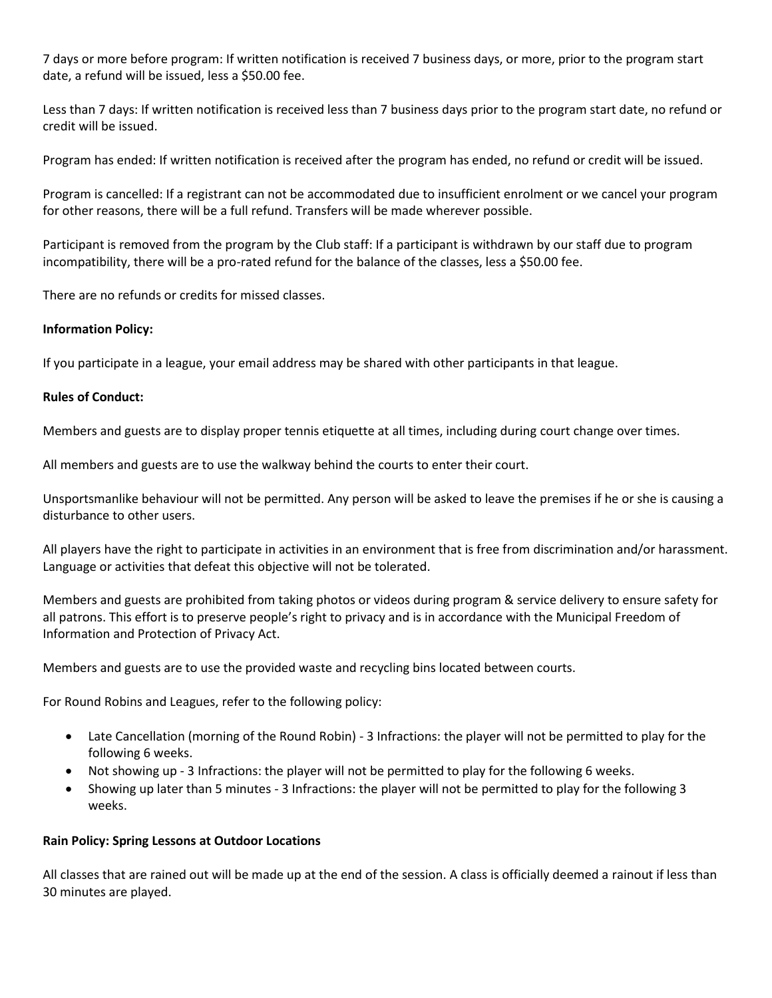7 days or more before program: If written notification is received 7 business days, or more, prior to the program start date, a refund will be issued, less a \$50.00 fee.

Less than 7 days: If written notification is received less than 7 business days prior to the program start date, no refund or credit will be issued.

Program has ended: If written notification is received after the program has ended, no refund or credit will be issued.

Program is cancelled: If a registrant can not be accommodated due to insufficient enrolment or we cancel your program for other reasons, there will be a full refund. Transfers will be made wherever possible.

Participant is removed from the program by the Club staff: If a participant is withdrawn by our staff due to program incompatibility, there will be a pro-rated refund for the balance of the classes, less a \$50.00 fee.

There are no refunds or credits for missed classes.

## **Information Policy:**

If you participate in a league, your email address may be shared with other participants in that league.

## **Rules of Conduct:**

Members and guests are to display proper tennis etiquette at all times, including during court change over times.

All members and guests are to use the walkway behind the courts to enter their court.

Unsportsmanlike behaviour will not be permitted. Any person will be asked to leave the premises if he or she is causing a disturbance to other users.

All players have the right to participate in activities in an environment that is free from discrimination and/or harassment. Language or activities that defeat this objective will not be tolerated.

Members and guests are prohibited from taking photos or videos during program & service delivery to ensure safety for all patrons. This effort is to preserve people's right to privacy and is in accordance with the Municipal Freedom of Information and Protection of Privacy Act.

Members and guests are to use the provided waste and recycling bins located between courts.

For Round Robins and Leagues, refer to the following policy:

- Late Cancellation (morning of the Round Robin) 3 Infractions: the player will not be permitted to play for the following 6 weeks.
- Not showing up 3 Infractions: the player will not be permitted to play for the following 6 weeks.
- Showing up later than 5 minutes 3 Infractions: the player will not be permitted to play for the following 3 weeks.

## **Rain Policy: Spring Lessons at Outdoor Locations**

All classes that are rained out will be made up at the end of the session. A class is officially deemed a rainout if less than 30 minutes are played.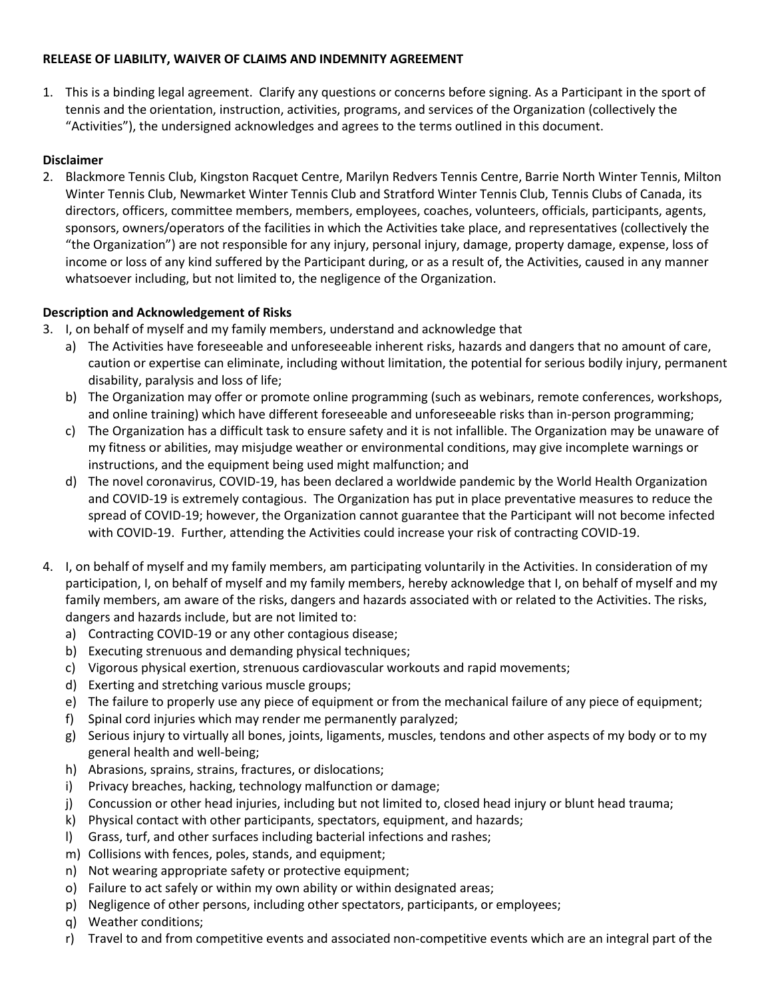## **RELEASE OF LIABILITY, WAIVER OF CLAIMS AND INDEMNITY AGREEMENT**

1. This is a binding legal agreement. Clarify any questions or concerns before signing. As a Participant in the sport of tennis and the orientation, instruction, activities, programs, and services of the Organization (collectively the "Activities"), the undersigned acknowledges and agrees to the terms outlined in this document.

## **Disclaimer**

2. Blackmore Tennis Club, Kingston Racquet Centre, Marilyn Redvers Tennis Centre, Barrie North Winter Tennis, Milton Winter Tennis Club, Newmarket Winter Tennis Club and Stratford Winter Tennis Club, Tennis Clubs of Canada, its directors, officers, committee members, members, employees, coaches, volunteers, officials, participants, agents, sponsors, owners/operators of the facilities in which the Activities take place, and representatives (collectively the "the Organization") are not responsible for any injury, personal injury, damage, property damage, expense, loss of income or loss of any kind suffered by the Participant during, or as a result of, the Activities, caused in any manner whatsoever including, but not limited to, the negligence of the Organization.

## **Description and Acknowledgement of Risks**

- 3. I, on behalf of myself and my family members, understand and acknowledge that
	- a) The Activities have foreseeable and unforeseeable inherent risks, hazards and dangers that no amount of care, caution or expertise can eliminate, including without limitation, the potential for serious bodily injury, permanent disability, paralysis and loss of life;
	- b) The Organization may offer or promote online programming (such as webinars, remote conferences, workshops, and online training) which have different foreseeable and unforeseeable risks than in-person programming;
	- c) The Organization has a difficult task to ensure safety and it is not infallible. The Organization may be unaware of my fitness or abilities, may misjudge weather or environmental conditions, may give incomplete warnings or instructions, and the equipment being used might malfunction; and
	- d) The novel coronavirus, COVID-19, has been declared a worldwide pandemic by the World Health Organization and COVID-19 is extremely contagious. The Organization has put in place preventative measures to reduce the spread of COVID-19; however, the Organization cannot guarantee that the Participant will not become infected with COVID-19. Further, attending the Activities could increase your risk of contracting COVID-19.
- 4. I, on behalf of myself and my family members, am participating voluntarily in the Activities. In consideration of my participation, I, on behalf of myself and my family members, hereby acknowledge that I, on behalf of myself and my family members, am aware of the risks, dangers and hazards associated with or related to the Activities. The risks, dangers and hazards include, but are not limited to:
	- a) Contracting COVID-19 or any other contagious disease;
	- b) Executing strenuous and demanding physical techniques;
	- c) Vigorous physical exertion, strenuous cardiovascular workouts and rapid movements;
	- d) Exerting and stretching various muscle groups;
	- e) The failure to properly use any piece of equipment or from the mechanical failure of any piece of equipment;
	- f) Spinal cord injuries which may render me permanently paralyzed;
	- g) Serious injury to virtually all bones, joints, ligaments, muscles, tendons and other aspects of my body or to my general health and well-being;
	- h) Abrasions, sprains, strains, fractures, or dislocations;
	- i) Privacy breaches, hacking, technology malfunction or damage;
	- j) Concussion or other head injuries, including but not limited to, closed head injury or blunt head trauma;
	- k) Physical contact with other participants, spectators, equipment, and hazards;
	- l) Grass, turf, and other surfaces including bacterial infections and rashes;
	- m) Collisions with fences, poles, stands, and equipment;
	- n) Not wearing appropriate safety or protective equipment;
	- o) Failure to act safely or within my own ability or within designated areas;
	- p) Negligence of other persons, including other spectators, participants, or employees;
	- q) Weather conditions;
	- r) Travel to and from competitive events and associated non-competitive events which are an integral part of the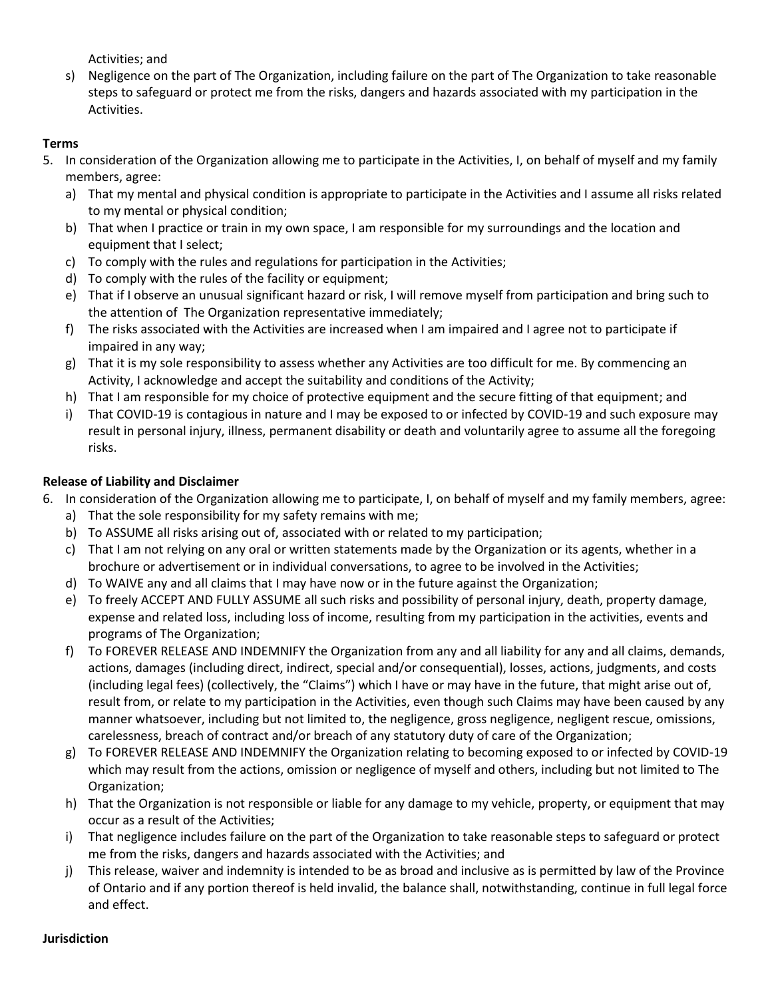Activities; and

s) Negligence on the part of The Organization, including failure on the part of The Organization to take reasonable steps to safeguard or protect me from the risks, dangers and hazards associated with my participation in the Activities.

## **Terms**

- 5. In consideration of the Organization allowing me to participate in the Activities, I, on behalf of myself and my family members, agree:
	- a) That my mental and physical condition is appropriate to participate in the Activities and I assume all risks related to my mental or physical condition;
	- b) That when I practice or train in my own space, I am responsible for my surroundings and the location and equipment that I select;
	- c) To comply with the rules and regulations for participation in the Activities;
	- d) To comply with the rules of the facility or equipment;
	- e) That if I observe an unusual significant hazard or risk, I will remove myself from participation and bring such to the attention of The Organization representative immediately;
	- f) The risks associated with the Activities are increased when I am impaired and I agree not to participate if impaired in any way;
	- g) That it is my sole responsibility to assess whether any Activities are too difficult for me. By commencing an Activity, I acknowledge and accept the suitability and conditions of the Activity;
	- h) That I am responsible for my choice of protective equipment and the secure fitting of that equipment; and
	- i) That COVID-19 is contagious in nature and I may be exposed to or infected by COVID-19 and such exposure may result in personal injury, illness, permanent disability or death and voluntarily agree to assume all the foregoing risks.

## **Release of Liability and Disclaimer**

- 6. In consideration of the Organization allowing me to participate, I, on behalf of myself and my family members, agree:
	- a) That the sole responsibility for my safety remains with me;
	- b) To ASSUME all risks arising out of, associated with or related to my participation;
	- c) That I am not relying on any oral or written statements made by the Organization or its agents, whether in a brochure or advertisement or in individual conversations, to agree to be involved in the Activities;
	- d) To WAIVE any and all claims that I may have now or in the future against the Organization;
	- e) To freely ACCEPT AND FULLY ASSUME all such risks and possibility of personal injury, death, property damage, expense and related loss, including loss of income, resulting from my participation in the activities, events and programs of The Organization;
	- f) To FOREVER RELEASE AND INDEMNIFY the Organization from any and all liability for any and all claims, demands, actions, damages (including direct, indirect, special and/or consequential), losses, actions, judgments, and costs (including legal fees) (collectively, the "Claims") which I have or may have in the future, that might arise out of, result from, or relate to my participation in the Activities, even though such Claims may have been caused by any manner whatsoever, including but not limited to, the negligence, gross negligence, negligent rescue, omissions, carelessness, breach of contract and/or breach of any statutory duty of care of the Organization;
	- g) To FOREVER RELEASE AND INDEMNIFY the Organization relating to becoming exposed to or infected by COVID-19 which may result from the actions, omission or negligence of myself and others, including but not limited to The Organization;
	- h) That the Organization is not responsible or liable for any damage to my vehicle, property, or equipment that may occur as a result of the Activities;
	- i) That negligence includes failure on the part of the Organization to take reasonable steps to safeguard or protect me from the risks, dangers and hazards associated with the Activities; and
	- j) This release, waiver and indemnity is intended to be as broad and inclusive as is permitted by law of the Province of Ontario and if any portion thereof is held invalid, the balance shall, notwithstanding, continue in full legal force and effect.

#### **Jurisdiction**